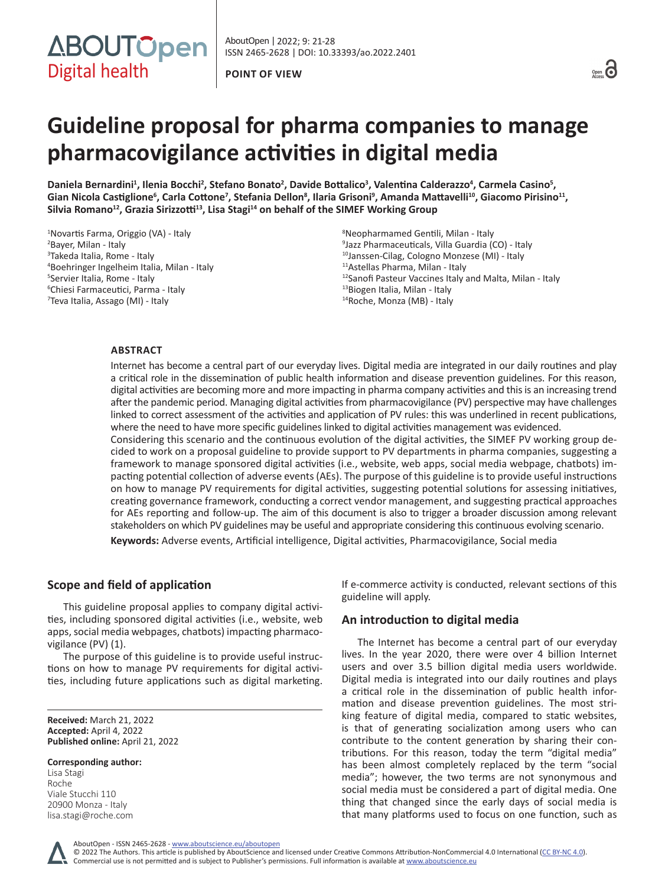



# **Guideline proposal for pharma companies to manage pharmacovigilance activities in digital media**

Daniela Bernardini<sup>1</sup>, Ilenia Bocchi<sup>2</sup>, Stefano Bonato<sup>2</sup>, Davide Bottalico<sup>3</sup>, Valentina Calderazzo<sup>4</sup>, Carmela Casino<sup>5</sup>, **Gian Nicola Castiglione<sup>6</sup> , Carla Cottone<sup>7</sup> , Stefania Dellon<sup>8</sup> , Ilaria Grisoni<sup>9</sup> , Amanda Mattavelli<sup>10</sup>, Giacomo Pirisino11, Silvia Romano<sup>12</sup>, Grazia Sirizzotti<sup>13</sup>, Lisa Stagi<sup>14</sup> on behalf of the SIMEF Working Group**

 Novartis Farma, Origgio (VA) - Italy Bayer, Milan - Italy Takeda Italia, Rome - Italy Boehringer Ingelheim Italia, Milan - Italy Servier Italia, Rome - Italy Chiesi Farmaceutici, Parma - Italy Teva Italia, Assago (MI) - Italy

 Neopharmamed Gentili, Milan - Italy Jazz Pharmaceuticals, Villa Guardia (CO) - Italy Janssen-Cilag, Cologno Monzese (MI) - Italy Astellas Pharma, Milan - Italy Sanofi Pasteur Vaccines Italy and Malta, Milan - Italy Biogen Italia, Milan - Italy Roche, Monza (MB) - Italy

# **ABSTRACT**

Internet has become a central part of our everyday lives. Digital media are integrated in our daily routines and play a critical role in the dissemination of public health information and disease prevention guidelines. For this reason, digital activities are becoming more and more impacting in pharma company activities and this is an increasing trend after the pandemic period. Managing digital activities from pharmacovigilance (PV) perspective may have challenges linked to correct assessment of the activities and application of PV rules: this was underlined in recent publications, where the need to have more specific guidelines linked to digital activities management was evidenced. Considering this scenario and the continuous evolution of the digital activities, the SIMEF PV working group decided to work on a proposal guideline to provide support to PV departments in pharma companies, suggesting a framework to manage sponsored digital activities (i.e., website, web apps, social media webpage, chatbots) impacting potential collection of adverse events (AEs). The purpose of this guideline is to provide useful instructions on how to manage PV requirements for digital activities, suggesting potential solutions for assessing initiatives, creating governance framework, conducting a correct vendor management, and suggesting practical approaches for AEs reporting and follow-up. The aim of this document is also to trigger a broader discussion among relevant stakeholders on which PV guidelines may be useful and appropriate considering this continuous evolving scenario.

**Keywords:** Adverse events, Artificial intelligence, Digital activities, Pharmacovigilance, Social media

# **Scope and field of application**

This guideline proposal applies to company digital activities, including sponsored digital activities (i.e., website, web apps, social media webpages, chatbots) impacting pharmacovigilance (PV) (1).

The purpose of this guideline is to provide useful instructions on how to manage PV requirements for digital activities, including future applications such as digital marketing.

**Received:** March 21, 2022 **Accepted:** April 4, 2022 **Published online:** April 21, 2022

**Corresponding author:** Lisa Stagi

Roche Viale Stucchi 110 20900 Monza - Italy [lisa.stagi@roche.com](mailto:lisa.stagi@roche.com) If e-commerce activity is conducted, relevant sections of this guideline will apply.

# **An introduction to digital media**

The Internet has become a central part of our everyday lives. In the year 2020, there were over 4 billion Internet users and over 3.5 billion digital media users worldwide. Digital media is integrated into our daily routines and plays a critical role in the dissemination of public health information and disease prevention guidelines. The most striking feature of digital media, compared to static websites, is that of generating socialization among users who can contribute to the content generation by sharing their contributions. For this reason, today the term "digital media" has been almost completely replaced by the term "social media"; however, the two terms are not synonymous and social media must be considered a part of digital media. One thing that changed since the early days of social media is that many platforms used to focus on one function, such as

AboutOpen - ISSN 2465-2628 - www.aboutscience.eu/aboutopen

© 2022 The Authors. This article is published by AboutScience and licensed under Creative Commons Attribution-NonCommercial 4.0 International ([CC BY-NC 4.0](https://creativecommons.org/licenses/by-nc/4.0/legalcode)). Commercial use is not permitted and is subject to Publisher's permissions. Full information is available at www.aboutscience.eu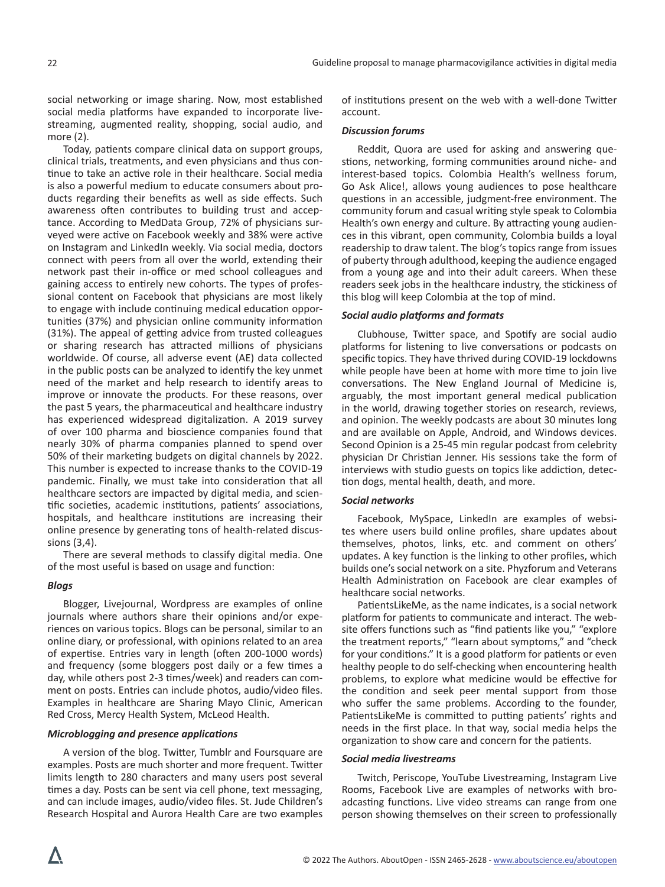social networking or image sharing. Now, most established social media platforms have expanded to incorporate livestreaming, augmented reality, shopping, social audio, and more (2).

Today, patients compare clinical data on support groups, clinical trials, treatments, and even physicians and thus continue to take an active role in their healthcare. Social media is also a powerful medium to educate consumers about products regarding their benefits as well as side effects. Such awareness often contributes to building trust and acceptance. According to MedData Group, 72% of physicians surveyed were active on Facebook weekly and 38% were active on Instagram and LinkedIn weekly. Via social media, doctors connect with peers from all over the world, extending their network past their in-office or med school colleagues and gaining access to entirely new cohorts. The types of professional content on Facebook that physicians are most likely to engage with include continuing medical education opportunities (37%) and physician online community information (31%). The appeal of getting advice from trusted colleagues or sharing research has attracted millions of physicians worldwide. Of course, all adverse event (AE) data collected in the public posts can be analyzed to identify the key unmet need of the market and help research to identify areas to improve or innovate the products. For these reasons, over the past 5 years, the pharmaceutical and healthcare industry has experienced widespread digitalization. A 2019 survey of over 100 pharma and bioscience companies found that nearly 30% of pharma companies planned to spend over 50% of their marketing budgets on digital channels by 2022. This number is expected to increase thanks to the COVID-19 pandemic. Finally, we must take into consideration that all healthcare sectors are impacted by digital media, and scientific societies, academic institutions, patients' associations, hospitals, and healthcare institutions are increasing their online presence by generating tons of health-related discussions (3,4).

There are several methods to classify digital media. One of the most useful is based on usage and function:

## *Blogs*

Blogger, Livejournal, Wordpress are examples of online journals where authors share their opinions and/or experiences on various topics. Blogs can be personal, similar to an online diary, or professional, with opinions related to an area of expertise. Entries vary in length (often 200-1000 words) and frequency (some bloggers post daily or a few times a day, while others post 2-3 times/week) and readers can comment on posts. Entries can include photos, audio/video files. Examples in healthcare are Sharing Mayo Clinic, American Red Cross, Mercy Health System, McLeod Health.

#### *Microblogging and presence applications*

A version of the blog. Twitter, Tumblr and Foursquare are examples. Posts are much shorter and more frequent. Twitter limits length to 280 characters and many users post several times a day. Posts can be sent via cell phone, text messaging, and can include images, audio/video files. St. Jude Children's Research Hospital and Aurora Health Care are two examples

of institutions present on the web with a well-done Twitter account.

## *Discussion forums*

Reddit, Quora are used for asking and answering questions, networking, forming communities around niche- and interest-based topics. Colombia Health's wellness forum, Go Ask Alice!, allows young audiences to pose healthcare questions in an accessible, judgment-free environment. The community forum and casual writing style speak to Colombia Health's own energy and culture. By attracting young audiences in this vibrant, open community, Colombia builds a loyal readership to draw talent. The blog's topics range from issues of puberty through adulthood, keeping the audience engaged from a young age and into their adult careers. When these readers seek jobs in the healthcare industry, the stickiness of this blog will keep Colombia at the top of mind.

## *Social audio platforms and formats*

Clubhouse, Twitter space, and Spotify are social audio platforms for listening to live conversations or podcasts on specific topics. They have thrived during COVID-19 lockdowns while people have been at home with more time to join live conversations. The New England Journal of Medicine is, arguably, the most important general medical publication in the world, drawing together stories on research, reviews, and opinion. The weekly podcasts are about 30 minutes long and are available on Apple, Android, and Windows devices. Second Opinion is a 25-45 min regular podcast from celebrity physician Dr Christian Jenner. His sessions take the form of interviews with studio guests on topics like addiction, detection dogs, mental health, death, and more.

#### *Social networks*

Facebook, MySpace, LinkedIn are examples of websites where users build online profiles, share updates about themselves, photos, links, etc. and comment on others' updates. A key function is the linking to other profiles, which builds one's social network on a site. Phyzforum and Veterans Health Administration on Facebook are clear examples of healthcare social networks.

PatientsLikeMe, as the name indicates, is a social network platform for patients to communicate and interact. The website offers functions such as "find patients like you," "explore the treatment reports," "learn about symptoms," and "check for your conditions." It is a good platform for patients or even healthy people to do self-checking when encountering health problems, to explore what medicine would be effective for the condition and seek peer mental support from those who suffer the same problems. According to the founder, PatientsLikeMe is committed to putting patients' rights and needs in the first place. In that way, social media helps the organization to show care and concern for the patients.

#### *Social media livestreams*

Twitch, Periscope, YouTube Livestreaming, Instagram Live Rooms, Facebook Live are examples of networks with broadcasting functions. Live video streams can range from one person showing themselves on their screen to professionally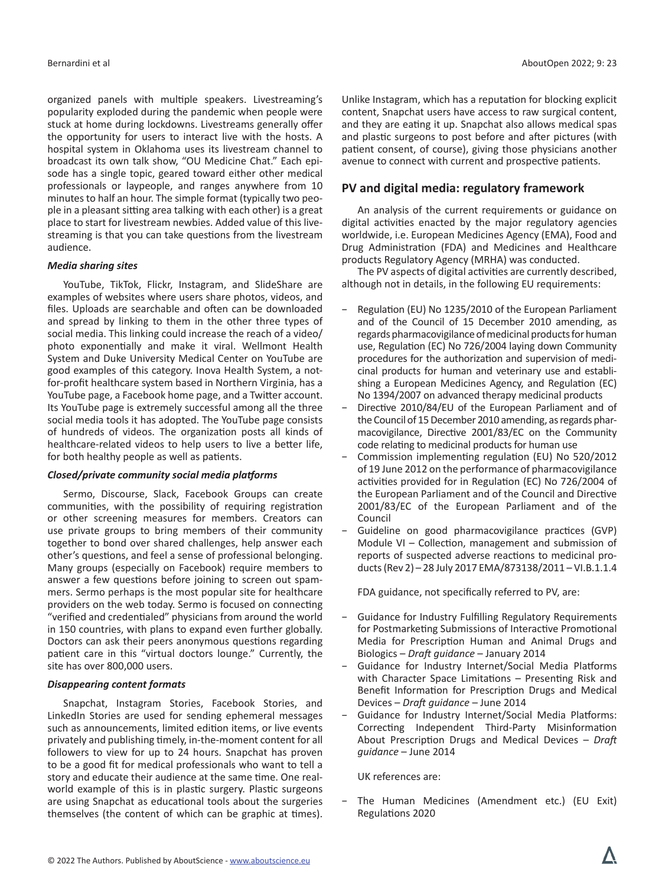organized panels with multiple speakers. Livestreaming's popularity exploded during the pandemic when people were stuck at home during lockdowns. Livestreams generally offer the opportunity for users to interact live with the hosts. A hospital system in Oklahoma uses its livestream channel to broadcast its own talk show, "OU Medicine Chat." Each episode has a single topic, geared toward either other medical professionals or laypeople, and ranges anywhere from 10 minutes to half an hour. The simple format (typically two people in a pleasant sitting area talking with each other) is a great place to start for livestream newbies. Added value of this livestreaming is that you can take questions from the livestream audience.

#### *Media sharing sites*

YouTube, TikTok, Flickr, Instagram, and SlideShare are examples of websites where users share photos, videos, and files. Uploads are searchable and often can be downloaded and spread by linking to them in the other three types of social media. This linking could increase the reach of a video/ photo exponentially and make it viral. Wellmont Health System and Duke University Medical Center on YouTube are good examples of this category. Inova Health System, a notfor-profit healthcare system based in Northern Virginia, has a YouTube page, a Facebook home page, and a Twitter account. Its YouTube page is extremely successful among all the three social media tools it has adopted. The YouTube page consists of hundreds of videos. The organization posts all kinds of healthcare-related videos to help users to live a better life, for both healthy people as well as patients.

#### *Closed/private community social media platforms*

Sermo, Discourse, Slack, Facebook Groups can create communities, with the possibility of requiring registration or other screening measures for members. Creators can use private groups to bring members of their community together to bond over shared challenges, help answer each other's questions, and feel a sense of professional belonging. Many groups (especially on Facebook) require members to answer a few questions before joining to screen out spammers. Sermo perhaps is the most popular site for healthcare providers on the web today. Sermo is focused on connecting "verified and credentialed" physicians from around the world in 150 countries, with plans to expand even further globally. Doctors can ask their peers anonymous questions regarding patient care in this "virtual doctors lounge." Currently, the site has over 800,000 users.

#### *Disappearing content formats*

Snapchat, Instagram Stories, Facebook Stories, and LinkedIn Stories are used for sending ephemeral messages such as announcements, limited edition items, or live events privately and publishing timely, in-the-moment content for all followers to view for up to 24 hours. Snapchat has proven to be a good fit for medical professionals who want to tell a story and educate their audience at the same time. One realworld example of this is in plastic surgery. Plastic surgeons are using Snapchat as educational tools about the surgeries themselves (the content of which can be graphic at times).

Unlike Instagram, which has a reputation for blocking explicit content, Snapchat users have access to raw surgical content, and they are eating it up. Snapchat also allows medical spas and plastic surgeons to post before and after pictures (with patient consent, of course), giving those physicians another avenue to connect with current and prospective patients.

## **PV and digital media: regulatory framework**

An analysis of the current requirements or guidance on digital activities enacted by the major regulatory agencies worldwide, i.e. European Medicines Agency (EMA), Food and Drug Administration (FDA) and Medicines and Healthcare products Regulatory Agency (MRHA) was conducted.

The PV aspects of digital activities are currently described, although not in details, in the following EU requirements:

- − Regulation (EU) No 1235/2010 of the European Parliament and of the Council of 15 December 2010 amending, as regards pharmacovigilance of medicinal products for human use, Regulation (EC) No 726/2004 laying down Community procedures for the authorization and supervision of medicinal products for human and veterinary use and establishing a European Medicines Agency, and Regulation (EC) No 1394/2007 on advanced therapy medicinal products
- Directive 2010/84/EU of the European Parliament and of the Council of 15 December 2010 amending, as regards pharmacovigilance, Directive 2001/83/EC on the Community code relating to medicinal products for human use
- − Commission implementing regulation (EU) No 520/2012 of 19 June 2012 on the performance of pharmacovigilance activities provided for in Regulation (EC) No 726/2004 of the European Parliament and of the Council and Directive 2001/83/EC of the European Parliament and of the Council
- − Guideline on good pharmacovigilance practices (GVP) Module VI – Collection, management and submission of reports of suspected adverse reactions to medicinal products (Rev 2) – 28 July 2017 EMA/873138/2011 – VI.B.1.1.4

FDA guidance, not specifically referred to PV, are:

- Guidance for Industry Fulfilling Regulatory Requirements for Postmarketing Submissions of Interactive Promotional Media for Prescription Human and Animal Drugs and Biologics – *Draft guidance* – January 2014
- Guidance for Industry Internet/Social Media Platforms with Character Space Limitations – Presenting Risk and Benefit Information for Prescription Drugs and Medical Devices – *Draft guidance* – June 2014
- Guidance for Industry Internet/Social Media Platforms: Correcting Independent Third-Party Misinformation About Prescription Drugs and Medical Devices – *Draft guidance* – June 2014

UK references are:

− The Human Medicines (Amendment etc.) (EU Exit) Regulations 2020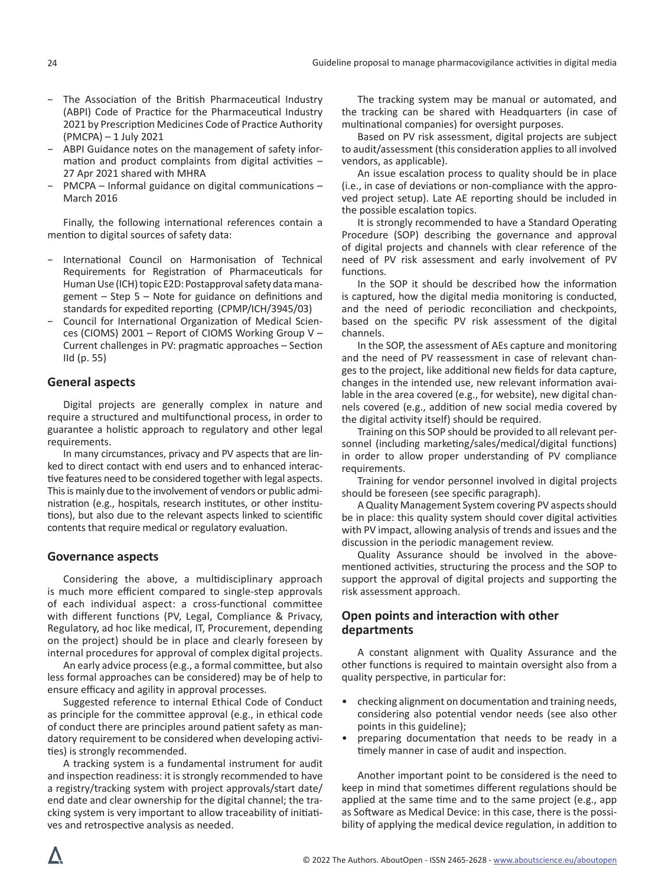- − The Association of the British Pharmaceutical Industry (ABPI) Code of Practice for the Pharmaceutical Industry 2021 by Prescription Medicines Code of Practice Authority (PMCPA) – 1 July 2021
- − ABPI Guidance notes on the management of safety information and product complaints from digital activities – 27 Apr 2021 shared with MHRA
- − PMCPA Informal guidance on digital communications March 2016

Finally, the following international references contain a mention to digital sources of safety data:

- − International Council on Harmonisation of Technical Requirements for Registration of Pharmaceuticals for Human Use (ICH) topic E2D: Postapproval safety data management – Step 5 – Note for guidance on definitions and standards for expedited reporting (CPMP/ICH/3945/03)
- − Council for International Organization of Medical Sciences (CIOMS) 2001 – Report of CIOMS Working Group V – Current challenges in PV: pragmatic approaches – Section IId (p. 55)

# **General aspects**

Digital projects are generally complex in nature and require a structured and multifunctional process, in order to guarantee a holistic approach to regulatory and other legal requirements.

In many circumstances, privacy and PV aspects that are linked to direct contact with end users and to enhanced interactive features need to be considered together with legal aspects. This is mainly due to the involvement of vendors or public administration (e.g., hospitals, research institutes, or other institutions), but also due to the relevant aspects linked to scientific contents that require medical or regulatory evaluation.

# **Governance aspects**

Considering the above, a multidisciplinary approach is much more efficient compared to single-step approvals of each individual aspect: a cross-functional committee with different functions (PV, Legal, Compliance & Privacy, Regulatory, ad hoc like medical, IT, Procurement, depending on the project) should be in place and clearly foreseen by internal procedures for approval of complex digital projects.

An early advice process (e.g., a formal committee, but also less formal approaches can be considered) may be of help to ensure efficacy and agility in approval processes.

Suggested reference to internal Ethical Code of Conduct as principle for the committee approval (e.g., in ethical code of conduct there are principles around patient safety as mandatory requirement to be considered when developing activities) is strongly recommended.

A tracking system is a fundamental instrument for audit and inspection readiness: it is strongly recommended to have a registry/tracking system with project approvals/start date/ end date and clear ownership for the digital channel; the tracking system is very important to allow traceability of initiatives and retrospective analysis as needed.

The tracking system may be manual or automated, and the tracking can be shared with Headquarters (in case of multinational companies) for oversight purposes.

Based on PV risk assessment, digital projects are subject to audit/assessment (this consideration applies to all involved vendors, as applicable).

An issue escalation process to quality should be in place (i.e., in case of deviations or non-compliance with the approved project setup). Late AE reporting should be included in the possible escalation topics.

It is strongly recommended to have a Standard Operating Procedure (SOP) describing the governance and approval of digital projects and channels with clear reference of the need of PV risk assessment and early involvement of PV functions.

In the SOP it should be described how the information is captured, how the digital media monitoring is conducted, and the need of periodic reconciliation and checkpoints, based on the specific PV risk assessment of the digital channels.

In the SOP, the assessment of AEs capture and monitoring and the need of PV reassessment in case of relevant changes to the project, like additional new fields for data capture, changes in the intended use, new relevant information available in the area covered (e.g., for website), new digital channels covered (e.g., addition of new social media covered by the digital activity itself) should be required.

Training on this SOP should be provided to all relevant personnel (including marketing/sales/medical/digital functions) in order to allow proper understanding of PV compliance requirements.

Training for vendor personnel involved in digital projects should be foreseen (see specific paragraph).

A Quality Management System covering PV aspects should be in place: this quality system should cover digital activities with PV impact, allowing analysis of trends and issues and the discussion in the periodic management review.

Quality Assurance should be involved in the abovementioned activities, structuring the process and the SOP to support the approval of digital projects and supporting the risk assessment approach.

# **Open points and interaction with other departments**

A constant alignment with Quality Assurance and the other functions is required to maintain oversight also from a quality perspective, in particular for:

- checking alignment on documentation and training needs, considering also potential vendor needs (see also other points in this guideline);
- preparing documentation that needs to be ready in a timely manner in case of audit and inspection.

Another important point to be considered is the need to keep in mind that sometimes different regulations should be applied at the same time and to the same project (e.g., app as Software as Medical Device: in this case, there is the possibility of applying the medical device regulation, in addition to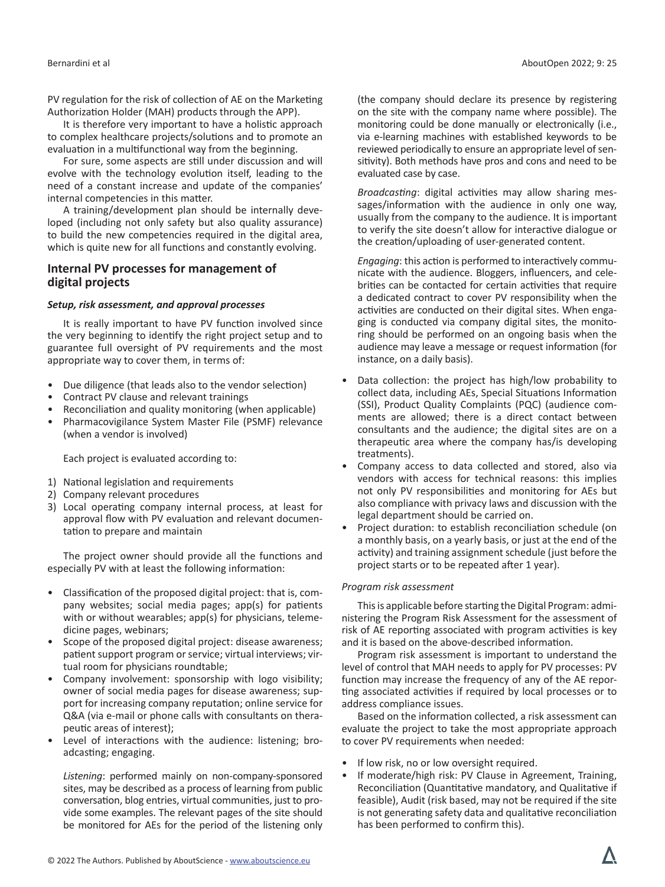PV regulation for the risk of collection of AE on the Marketing Authorization Holder (MAH) products through the APP).

It is therefore very important to have a holistic approach to complex healthcare projects/solutions and to promote an evaluation in a multifunctional way from the beginning.

For sure, some aspects are still under discussion and will evolve with the technology evolution itself, leading to the need of a constant increase and update of the companies' internal competencies in this matter.

A training/development plan should be internally developed (including not only safety but also quality assurance) to build the new competencies required in the digital area, which is quite new for all functions and constantly evolving.

# **Internal PV processes for management of digital projects**

## *Setup, risk assessment, and approval processes*

It is really important to have PV function involved since the very beginning to identify the right project setup and to guarantee full oversight of PV requirements and the most appropriate way to cover them, in terms of:

- Due diligence (that leads also to the vendor selection)
- Contract PV clause and relevant trainings
- Reconciliation and quality monitoring (when applicable)
- Pharmacovigilance System Master File (PSMF) relevance (when a vendor is involved)

Each project is evaluated according to:

- 1) National legislation and requirements
- 2) Company relevant procedures
- 3) Local operating company internal process, at least for approval flow with PV evaluation and relevant documentation to prepare and maintain

The project owner should provide all the functions and especially PV with at least the following information:

- Classification of the proposed digital project: that is, company websites; social media pages; app(s) for patients with or without wearables; app(s) for physicians, telemedicine pages, webinars;
- Scope of the proposed digital project: disease awareness; patient support program or service; virtual interviews; virtual room for physicians roundtable;
- Company involvement: sponsorship with logo visibility; owner of social media pages for disease awareness; support for increasing company reputation; online service for Q&A (via e-mail or phone calls with consultants on therapeutic areas of interest);
- Level of interactions with the audience: listening; broadcasting; engaging.

*Listening*: performed mainly on non-company-sponsored sites, may be described as a process of learning from public conversation, blog entries, virtual communities, just to provide some examples. The relevant pages of the site should be monitored for AEs for the period of the listening only (the company should declare its presence by registering on the site with the company name where possible). The monitoring could be done manually or electronically (i.e., via e-learning machines with established keywords to be reviewed periodically to ensure an appropriate level of sensitivity). Both methods have pros and cons and need to be evaluated case by case.

*Broadcasting*: digital activities may allow sharing messages/information with the audience in only one way, usually from the company to the audience. It is important to verify the site doesn't allow for interactive dialogue or the creation/uploading of user-generated content.

*Engaging*: this action is performed to interactively communicate with the audience. Bloggers, influencers, and celebrities can be contacted for certain activities that require a dedicated contract to cover PV responsibility when the activities are conducted on their digital sites. When engaging is conducted via company digital sites, the monitoring should be performed on an ongoing basis when the audience may leave a message or request information (for instance, on a daily basis).

- Data collection: the project has high/low probability to collect data, including AEs, Special Situations Information (SSI), Product Quality Complaints (PQC) (audience comments are allowed; there is a direct contact between consultants and the audience; the digital sites are on a therapeutic area where the company has/is developing treatments).
- Company access to data collected and stored, also via vendors with access for technical reasons: this implies not only PV responsibilities and monitoring for AEs but also compliance with privacy laws and discussion with the legal department should be carried on.
- Project duration: to establish reconciliation schedule (on a monthly basis, on a yearly basis, or just at the end of the activity) and training assignment schedule (just before the project starts or to be repeated after 1 year).

## *Program risk assessment*

This is applicable before starting the Digital Program: administering the Program Risk Assessment for the assessment of risk of AE reporting associated with program activities is key and it is based on the above-described information.

Program risk assessment is important to understand the level of control that MAH needs to apply for PV processes: PV function may increase the frequency of any of the AE reporting associated activities if required by local processes or to address compliance issues.

Based on the information collected, a risk assessment can evaluate the project to take the most appropriate approach to cover PV requirements when needed:

- If low risk, no or low oversight required.
- If moderate/high risk: PV Clause in Agreement, Training, Reconciliation (Quantitative mandatory, and Qualitative if feasible), Audit (risk based, may not be required if the site is not generating safety data and qualitative reconciliation has been performed to confirm this).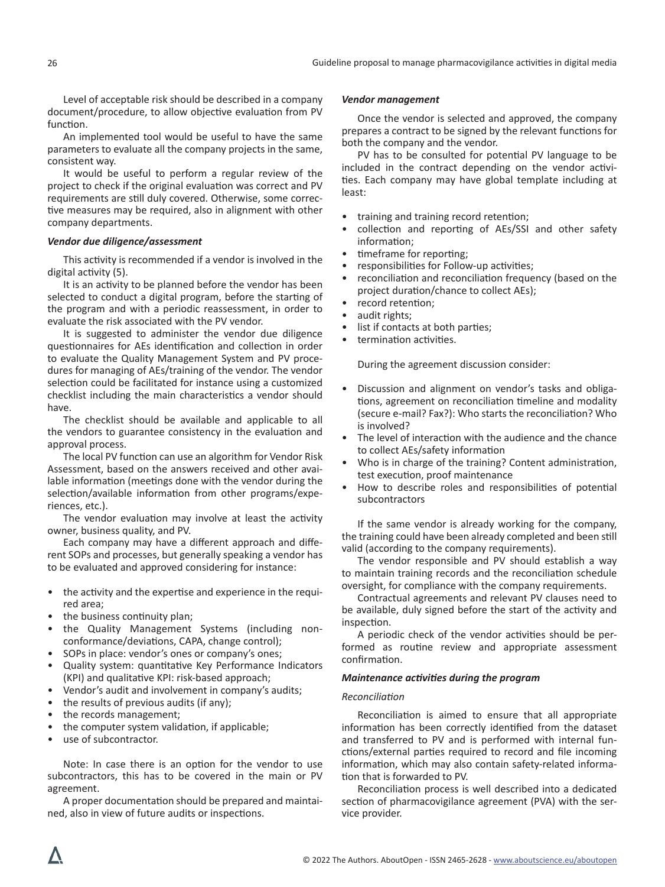Level of acceptable risk should be described in a company document/procedure, to allow objective evaluation from PV function.

An implemented tool would be useful to have the same parameters to evaluate all the company projects in the same, consistent way.

It would be useful to perform a regular review of the project to check if the original evaluation was correct and PV requirements are still duly covered. Otherwise, some corrective measures may be required, also in alignment with other company departments.

## *Vendor due diligence/assessment*

This activity is recommended if a vendor is involved in the digital activity (5).

It is an activity to be planned before the vendor has been selected to conduct a digital program, before the starting of the program and with a periodic reassessment, in order to evaluate the risk associated with the PV vendor.

It is suggested to administer the vendor due diligence questionnaires for AEs identification and collection in order to evaluate the Quality Management System and PV procedures for managing of AEs/training of the vendor. The vendor selection could be facilitated for instance using a customized checklist including the main characteristics a vendor should have.

The checklist should be available and applicable to all the vendors to guarantee consistency in the evaluation and approval process.

The local PV function can use an algorithm for Vendor Risk Assessment, based on the answers received and other available information (meetings done with the vendor during the selection/available information from other programs/experiences, etc.).

The vendor evaluation may involve at least the activity owner, business quality, and PV.

Each company may have a different approach and different SOPs and processes, but generally speaking a vendor has to be evaluated and approved considering for instance:

- the activity and the expertise and experience in the required area;
- the business continuity plan;
- the Quality Management Systems (including nonconformance/deviations, CAPA, change control);
- SOPs in place: vendor's ones or company's ones;
- Quality system: quantitative Key Performance Indicators (KPI) and qualitative KPI: risk-based approach;
- Vendor's audit and involvement in company's audits;
- the results of previous audits (if any);
- the records management;
- the computer system validation, if applicable;
- use of subcontractor.

Note: In case there is an option for the vendor to use subcontractors, this has to be covered in the main or PV agreement.

A proper documentation should be prepared and maintained, also in view of future audits or inspections.

#### *Vendor management*

Once the vendor is selected and approved, the company prepares a contract to be signed by the relevant functions for both the company and the vendor.

PV has to be consulted for potential PV language to be included in the contract depending on the vendor activities. Each company may have global template including at least:

- training and training record retention;
- collection and reporting of AEs/SSI and other safety information;
- timeframe for reporting;
- responsibilities for Follow-up activities;
- reconciliation and reconciliation frequency (based on the project duration/chance to collect AEs);
- record retention;
- audit rights;
- list if contacts at both parties;
- termination activities.

During the agreement discussion consider:

- Discussion and alignment on vendor's tasks and obligations, agreement on reconciliation timeline and modality (secure e-mail? Fax?): Who starts the reconciliation? Who is involved?
- The level of interaction with the audience and the chance to collect AEs/safety information
- Who is in charge of the training? Content administration, test execution, proof maintenance
- How to describe roles and responsibilities of potential subcontractors

If the same vendor is already working for the company, the training could have been already completed and been still valid (according to the company requirements).

The vendor responsible and PV should establish a way to maintain training records and the reconciliation schedule oversight, for compliance with the company requirements.

Contractual agreements and relevant PV clauses need to be available, duly signed before the start of the activity and inspection.

A periodic check of the vendor activities should be performed as routine review and appropriate assessment confirmation.

#### *Maintenance activities during the program*

#### *Reconciliation*

Reconciliation is aimed to ensure that all appropriate information has been correctly identified from the dataset and transferred to PV and is performed with internal functions/external parties required to record and file incoming information, which may also contain safety-related information that is forwarded to PV.

Reconciliation process is well described into a dedicated section of pharmacovigilance agreement (PVA) with the service provider.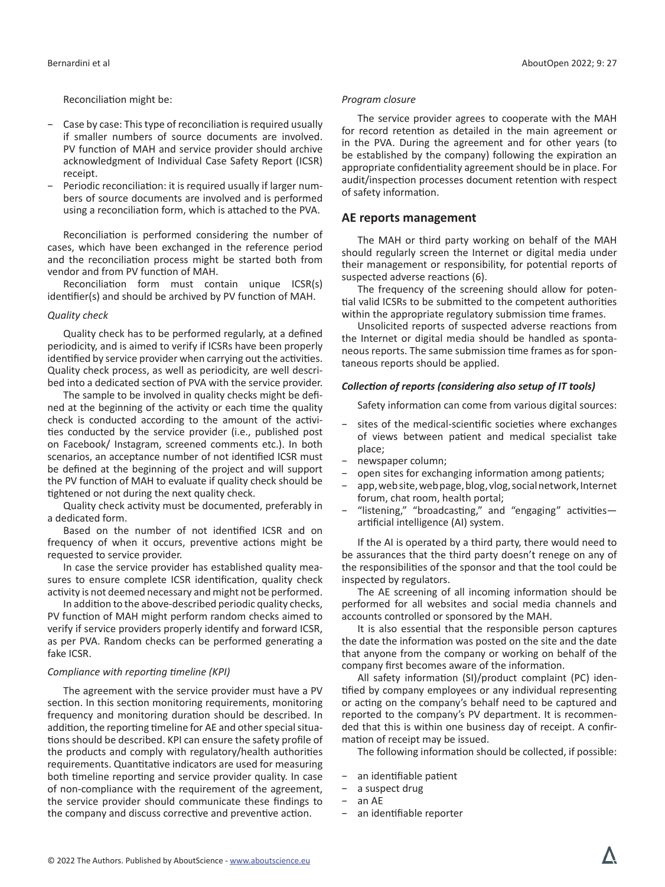Reconciliation might be:

- − Case by case: This type of reconciliation is required usually if smaller numbers of source documents are involved. PV function of MAH and service provider should archive acknowledgment of Individual Case Safety Report (ICSR) receipt.
- − Periodic reconciliation: it is required usually if larger numbers of source documents are involved and is performed using a reconciliation form, which is attached to the PVA.

Reconciliation is performed considering the number of cases, which have been exchanged in the reference period and the reconciliation process might be started both from vendor and from PV function of MAH.

Reconciliation form must contain unique ICSR(s) identifier(s) and should be archived by PV function of MAH.

## *Quality check*

Quality check has to be performed regularly, at a defined periodicity, and is aimed to verify if ICSRs have been properly identified by service provider when carrying out the activities. Quality check process, as well as periodicity, are well described into a dedicated section of PVA with the service provider.

The sample to be involved in quality checks might be defined at the beginning of the activity or each time the quality check is conducted according to the amount of the activities conducted by the service provider (i.e., published post on Facebook/ Instagram, screened comments etc.). In both scenarios, an acceptance number of not identified ICSR must be defined at the beginning of the project and will support the PV function of MAH to evaluate if quality check should be tightened or not during the next quality check.

Quality check activity must be documented, preferably in a dedicated form.

Based on the number of not identified ICSR and on frequency of when it occurs, preventive actions might be requested to service provider.

In case the service provider has established quality measures to ensure complete ICSR identification, quality check activity is not deemed necessary and might not be performed.

In addition to the above-described periodic quality checks, PV function of MAH might perform random checks aimed to verify if service providers properly identify and forward ICSR, as per PVA. Random checks can be performed generating a fake ICSR.

## *Compliance with reporting timeline (KPI)*

The agreement with the service provider must have a PV section. In this section monitoring requirements, monitoring frequency and monitoring duration should be described. In addition, the reporting timeline for AE and other special situations should be described. KPI can ensure the safety profile of the products and comply with regulatory/health authorities requirements. Quantitative indicators are used for measuring both timeline reporting and service provider quality. In case of non-compliance with the requirement of the agreement, the service provider should communicate these findings to the company and discuss corrective and preventive action.

#### *Program closure*

The service provider agrees to cooperate with the MAH for record retention as detailed in the main agreement or in the PVA. During the agreement and for other years (to be established by the company) following the expiration an appropriate confidentiality agreement should be in place. For audit/inspection processes document retention with respect of safety information.

## **AE reports management**

The MAH or third party working on behalf of the MAH should regularly screen the Internet or digital media under their management or responsibility, for potential reports of suspected adverse reactions (6).

The frequency of the screening should allow for potential valid ICSRs to be submitted to the competent authorities within the appropriate regulatory submission time frames.

Unsolicited reports of suspected adverse reactions from the Internet or digital media should be handled as spontaneous reports. The same submission time frames as for spontaneous reports should be applied.

## *Collection of reports (considering also setup of IT tools)*

Safety information can come from various digital sources:

- sites of the medical-scientific societies where exchanges of views between patient and medical specialist take place;
- − newspaper column;
- − open sites for exchanging information among patients;
- − app, web site, web page, blog, vlog, social network, Internet forum, chat room, health portal;
- − "listening," "broadcasting," and "engaging" activities artificial intelligence (AI) system.

If the AI is operated by a third party, there would need to be assurances that the third party doesn't renege on any of the responsibilities of the sponsor and that the tool could be inspected by regulators.

The AE screening of all incoming information should be performed for all websites and social media channels and accounts controlled or sponsored by the MAH.

It is also essential that the responsible person captures the date the information was posted on the site and the date that anyone from the company or working on behalf of the company first becomes aware of the information.

All safety information (SI)/product complaint (PC) identified by company employees or any individual representing or acting on the company's behalf need to be captured and reported to the company's PV department. It is recommended that this is within one business day of receipt. A confirmation of receipt may be issued.

The following information should be collected, if possible:

- an identifiable patient
- − a suspect drug
- − an AE
- − an identifiable reporter